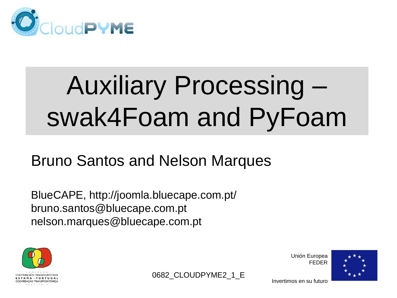

## Auxiliary Processing – swak4Foam and PyFoam

0682 CLOUDPYME2 1 E

#### Bruno Santos and Nelson Marques

BlueCAPE, http://joomla.bluecape.com.pt/ bruno.santos@bluecape.com.pt nelson.marques@bluecape.com.pt



Unión Europea FEDER

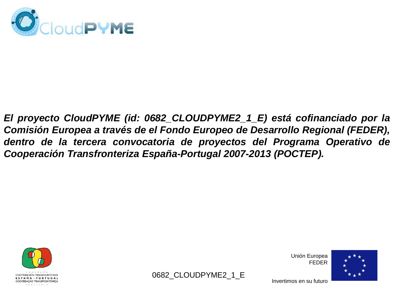

*El proyecto CloudPYME (id: 0682\_CLOUDPYME2\_1\_E) está cofinanciado por la Comisión Europea a través de el Fondo Europeo de Desarrollo Regional (FEDER), dentro de la tercera convocatoria de proyectos del Programa Operativo de Cooperación Transfronteriza España-Portugal 2007-2013 (POCTEP).*





Unión Europea FEDER

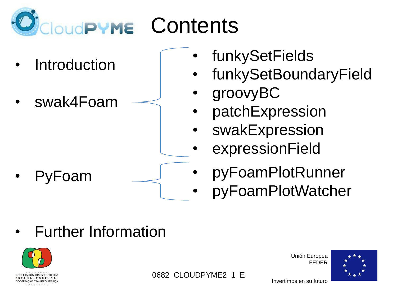

- **Introduction**
- swak4Foam

• PyFoam

- **funkySetFields**
- funkySetBoundaryField
- groovyBC
- patchExpression
- **swakExpression**
- expressionField
- pyFoamPlotRunner
- pyFoamPlotWatcher

• Further Information



0682 CLOUDPYME2 1 E

Unión Europea FEDER

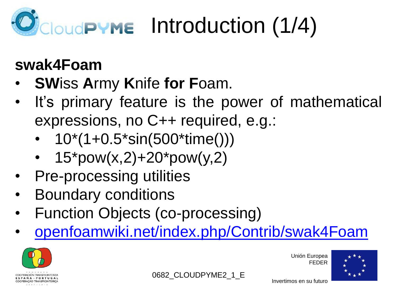

### **swak4Foam**

- **SW**iss **A**rmy **K**nife **for F**oam.
- It's primary feature is the power of mathematical expressions, no C++ required, e.g.:
	- 10\*(1+0.5\*sin(500\*time()))
	- $15<sup>*</sup>pow(x,2)+20<sup>*</sup>pow(y,2)$
- Pre-processing utilities
- Boundary conditions
- Function Objects (co-processing)
- [openfoamwiki.net/index.php/Contrib/swak4Foam](http://openfoamwiki.net/index.php/Contrib/swak4Foam)



Unión Europea FEDER



Invertimos en su futuro

0682 CLOUDPYME2 1 E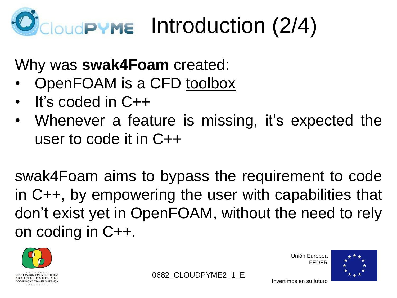# **OUGPYME** Introduction (2/4)

Why was **swak4Foam** created:

- OpenFOAM is a CFD toolbox
- It's coded in C++
- Whenever a feature is missing, it's expected the user to code it in C++

swak4Foam aims to bypass the requirement to code in C++, by empowering the user with capabilities that don't exist yet in OpenFOAM, without the need to rely on coding in C++.





Unión Europea FEDER

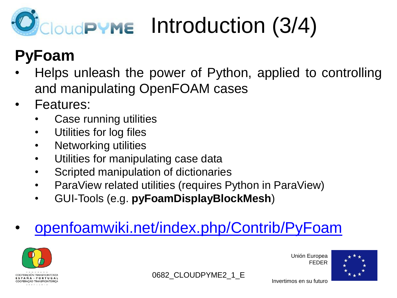# Introduction (3/4)

### **PyFoam**

- Helps unleash the power of Python, applied to controlling and manipulating OpenFOAM cases
- Features:
	- Case running utilities
	- Utilities for log files
	- Networking utilities
	- Utilities for manipulating case data
	- Scripted manipulation of dictionaries
	- ParaView related utilities (requires Python in ParaView)
	- GUI-Tools (e.g. **pyFoamDisplayBlockMesh**)

### • [openfoamwiki.net/index.php/Contrib/PyFoam](http://openfoamwiki.net/index.php/Contrib/PyFoam)



Unión Europea FEDER



Invertimos en su futuro

0682 CLOUDPYME2 1 E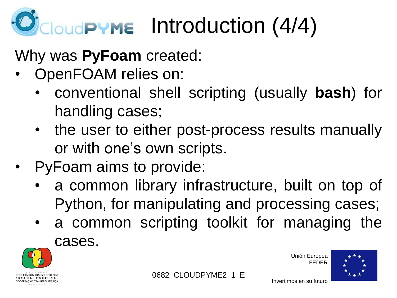

#### Why was **PyFoam** created:

- OpenFOAM relies on:
	- conventional shell scripting (usually **bash**) for handling cases;
	- the user to either post-process results manually or with one's own scripts.
- PyFoam aims to provide:
	- a common library infrastructure, built on top of Python, for manipulating and processing cases;
	- a common scripting toolkit for managing the cases.



0682 CLOUDPYME2 1 E

Unión Europea FEDER

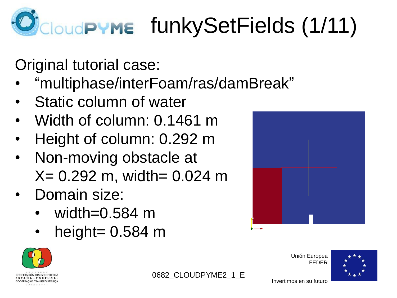# CloudPYME funkySetFields (1/11)

Original tutorial case:

- "multiphase/interFoam/ras/damBreak"
- Static column of water
- Width of column: 0.1461 m
- Height of column: 0.292 m
- Non-moving obstacle at  $X = 0.292$  m, width= 0.024 m
- Domain size:
	- width=0.584 m
	- height=  $0.584$  m



Unión Europea FEDER





0682 CLOUDPYME2 1 E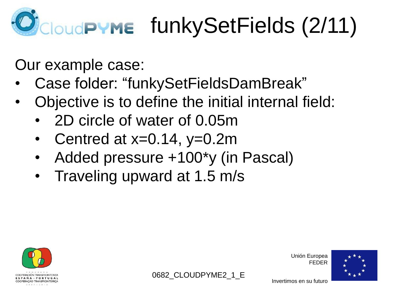# **CloudPYME funkySetFields (2/11)**

Our example case:

- Case folder: "funkySetFieldsDamBreak"
- Objective is to define the initial internal field:
	- 2D circle of water of 0.05m
	- Centred at  $x=0.14$ ,  $y=0.2$ m
	- Added pressure +100\*y (in Pascal)
	- Traveling upward at 1.5 m/s



Unión Europea FEDER



Invertimos en su futuro

0682 CLOUDPYME2 1 E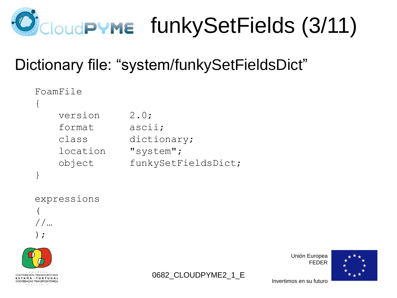

### Dictionary file: "system/funkySetFieldsDict"

| FoamFile |                     |
|----------|---------------------|
|          |                     |
| version  | 2.0;                |
| format   | ascii;              |
| class    | dictionary;         |
| location | "system";           |
| object   | funkySetFieldsDict; |
|          |                     |

expressions ( //… );





Unión Europea FEDER

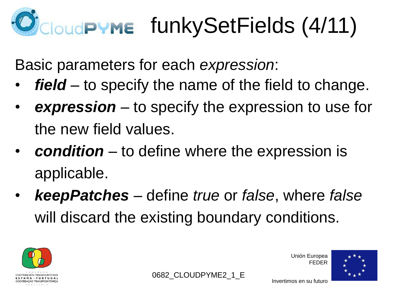# **EloudPYME funkySetFields (4/11)**

Basic parameters for each *expression*:

- field to specify the name of the field to change.
- *expression* to specify the expression to use for the new field values.
- *condition* to define where the expression is applicable.
- *keepPatches* define *true* or *false*, where *false* will discard the existing boundary conditions.







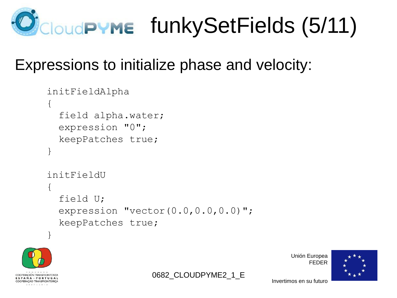

0682 CLOUDPYME2 1 E

#### Expressions to initialize phase and velocity:

```
 initFieldAlpha
  \left\{ \right. field alpha.water;
     expression "0";
     keepPatches true;
 }
   initFieldU
   {
     field U;
    expression "vector(0.0, 0.0, 0.0)";
     keepPatches true;
 }
```


Unión Europea FEDER

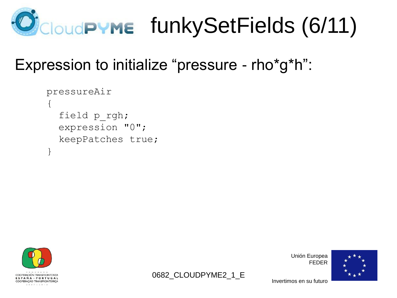

0682 CLOUDPYME2 1 E

#### Expression to initialize "pressure - rho\*g\*h":

```
 pressureAir
\mathbf{1} field p_rgh;
   expression "0";
   keepPatches true;
 }
```


Unión Europea FEDER

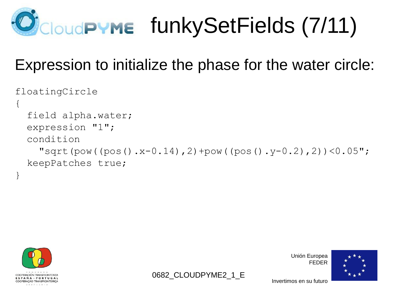

#### Expression to initialize the phase for the water circle:

```
floatingCircle
\left\{ \right. field alpha.water;
   expression "1";
   condition 
    "sqrt(pow((pos().x-0.14), 2) + pow((pos().y-0.2), 2)) <0.05";
   keepPatches true;
}
```
0682 CLOUDPYME2 1 E



Unión Europea FEDER

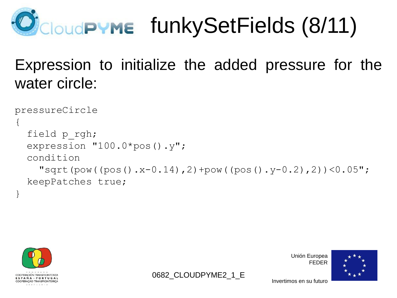

### Expression to initialize the added pressure for the water circle:

```
pressureCircle
\{ field p_rgh;
   expression "100.0*pos().y";
   condition 
    "sqrt(pow((pos().x-0.14), 2) + pow((pos().y-0.2), 2))<0.05";
   keepPatches true;
```
0682 CLOUDPYME2 1 E



}

Unión Europea FEDER

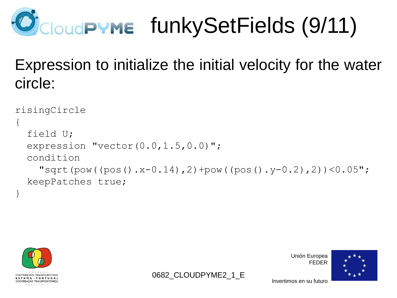# CloudPYME funkySetFields (9/11)

### Expression to initialize the initial velocity for the water circle:

```
risingCircle
\{ field U;
  expression "vector(0.0, 1.5, 0.0)";
   condition
    "sqrt(pow((pos().x-0.14), 2) + pow((pos().y-0.2), 2))<0.05";
   keepPatches true;
```
0682 CLOUDPYME2 1 E



}

Unión Europea FEDER

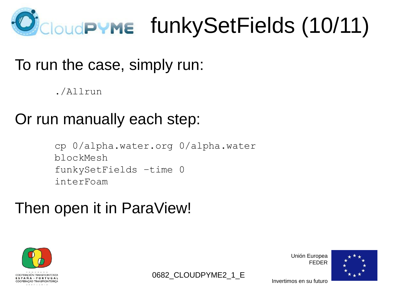

0682 CLOUDPYME2 1 E

#### To run the case, simply run:

./Allrun

#### Or run manually each step:

```
cp 0/alpha.water.org 0/alpha.water
blockMesh
funkySetFields –time 0
interFoam
```
#### Then open it in ParaView!



Unión Europea FEDER

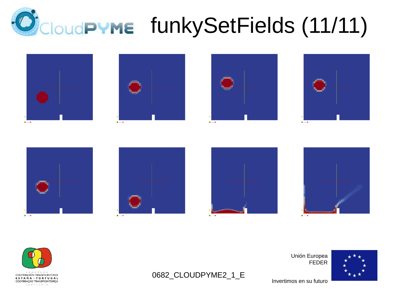## **CloudPYME** funkySetFields (11/11)

0682\_CLOUDPYME2\_1\_E



















Invertimos en su futuro

Unión Europea

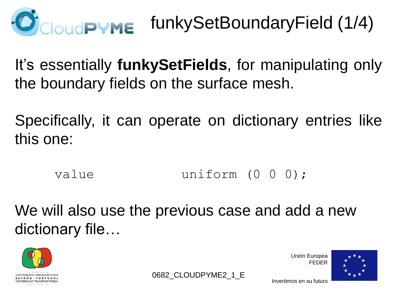

It's essentially **funkySetFields**, for manipulating only the boundary fields on the surface mesh.

Specifically, it can operate on dictionary entries like this one:

value uniform (0 0 0);

We will also use the previous case and add a new dictionary file…



Unión Europea FEDER



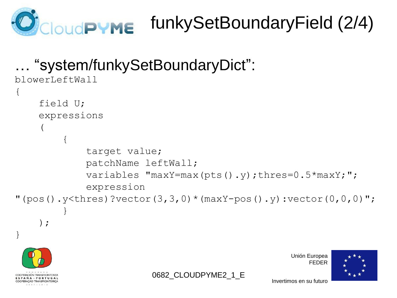

## funkySetBoundaryField (2/4)

```
… "system/funkySetBoundaryDict":
```

```
blowerLeftWall
{
     field U;
     expressions
\overline{\phantom{a}}\{ target value;
              patchName leftWall;
             variables "maxY=max(pts().y);thres=0.5*maxY;";
              expression
"(pos().y<thres)?vector(3,3,0)*(maxY-pos().y):vector(0,0,0)";
 }
     );
}
```




Unión Europea FEDER

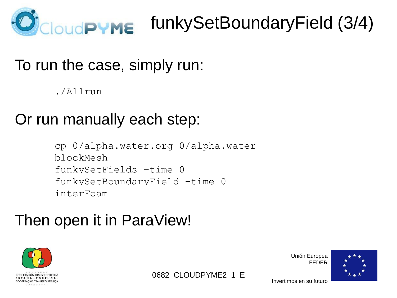

### funkySetBoundaryField (3/4)

#### To run the case, simply run:

./Allrun

### Or run manually each step:

cp 0/alpha.water.org 0/alpha.water blockMesh funkySetFields –time 0 funkySetBoundaryField -time 0 interFoam

### Then open it in ParaView!



Unión Europea FEDER



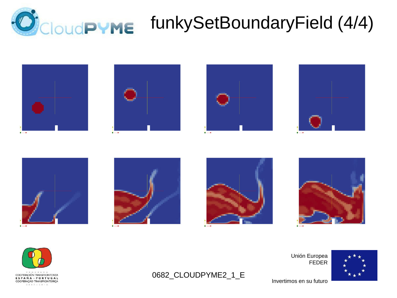

## **CloudPYME** funkySetBoundaryField (4/4)

















Invertimos en su futuro

0682\_CLOUDPYME2\_1\_E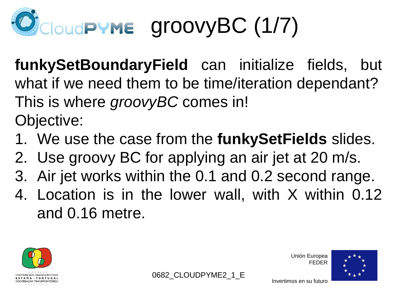# CloudPYME groovyBC (1/7)

**funkySetBoundaryField** can initialize fields, but what if we need them to be time/iteration dependant? This is where *groovyBC* comes in! Objective:

- 1. We use the case from the **funkySetFields** slides.
- 2. Use groovy BC for applying an air jet at 20 m/s.
- 3. Air jet works within the 0.1 and 0.2 second range.
- 4. Location is in the lower wall, with X within 0.12 and 0.16 metre.





Unión Europea FEDER

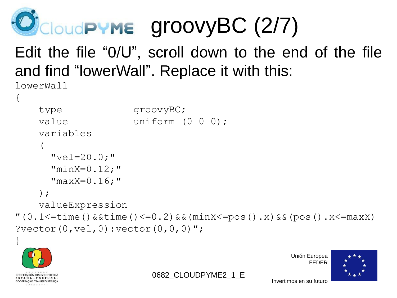

### Edit the file "0/U", scroll down to the end of the file and find "lowerWall". Replace it with this:

lowerWall

 $\left\{ \right.$ 

```
type groovyBC;
   value uniform (0 0 0);
    variables 
\overline{\phantom{a}}"vel=20.0;"
       "minX=0.12;"
      "maxX=0.16;" );
    valueExpression
"(0.1<=time()&&time()<=0.2)&&(minX<=pos().x)&&(pos().x<=maxX)
?vector(0,vel,0):vector(0, 0, 0)";
```
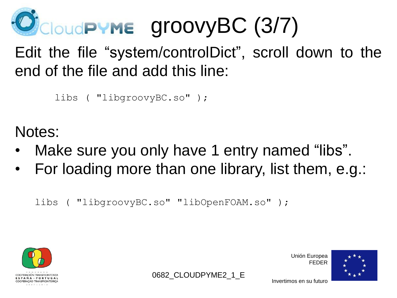

Edit the file "system/controlDict", scroll down to the end of the file and add this line:

libs ( "libgroovyBC.so" );

Notes:

- Make sure you only have 1 entry named "libs".
- For loading more than one library, list them, e.g.:

0682 CLOUDPYME2 1 E

libs ( "libgroovyBC.so" "libOpenFOAM.so" );



Unión Europea FEDER

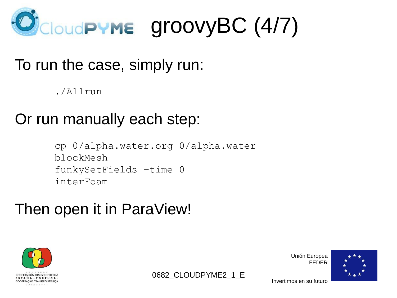

#### To run the case, simply run:

./Allrun

#### Or run manually each step:

```
cp 0/alpha.water.org 0/alpha.water
blockMesh
funkySetFields –time 0
interFoam
```
0682 CLOUDPYME2 1 E

#### Then open it in ParaView!



Unión Europea FEDER

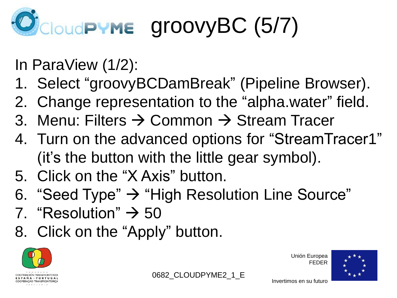# loudPYME groovyBC (5/7)

In ParaView (1/2):

- 1. Select "groovyBCDamBreak" (Pipeline Browser).
- 2. Change representation to the "alpha.water" field.
- 3. Menu: Filters  $\rightarrow$  Common  $\rightarrow$  Stream Tracer
- 4. Turn on the advanced options for "StreamTracer1" (it's the button with the little gear symbol).
- 5. Click on the "X Axis" button.
- 6. "Seed Type"  $\rightarrow$  "High Resolution Line Source"
- 7. "Resolution"  $\rightarrow$  50
- 8. Click on the "Apply" button.



Unión Europea FEDER



Invertimos en su futuro

0682 CLOUDPYME2 1 E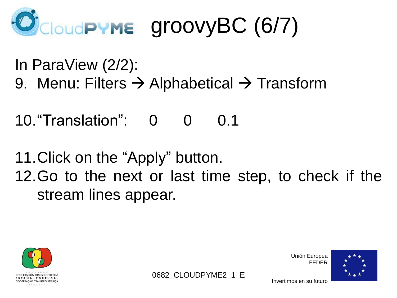# CloudPYME groovyBC (6/7)

In ParaView (2/2): 9. Menu: Filters  $\rightarrow$  Alphabetical  $\rightarrow$  Transform

10."Translation": 0 0 0.1

11.Click on the "Apply" button. 12.Go to the next or last time step, to check if the stream lines appear.



0682 CLOUDPYME2 1 E

Invertimos en su futuro

Unión Europea FEDER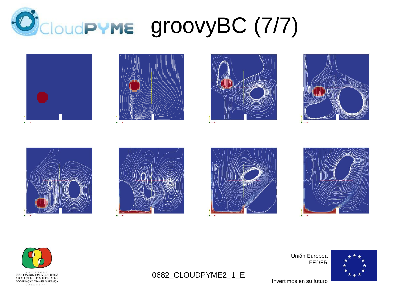





















Unión Europea FEDER

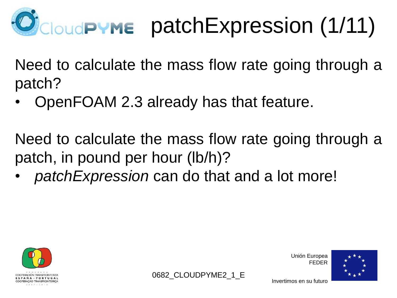

Need to calculate the mass flow rate going through a patch?

• OpenFOAM 2.3 already has that feature.

Need to calculate the mass flow rate going through a patch, in pound per hour (lb/h)?

0682 CLOUDPYME2 1 E

• *patchExpression* can do that and a lot more!



Unión Europea FEDER

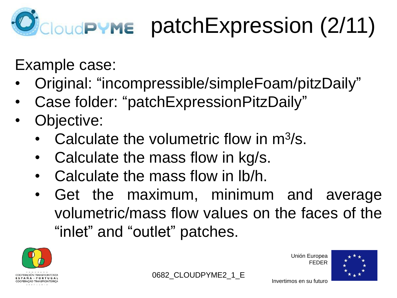# **CloudPYME** patchExpression (2/11)

Example case:

- Original: "incompressible/simpleFoam/pitzDaily"
- Case folder: "patchExpressionPitzDaily"
- Objective:
	- Calculate the volumetric flow in  $m^3/s$ .
	- Calculate the mass flow in kg/s.
	- Calculate the mass flow in lb/h.
	- Get the maximum, minimum and average volumetric/mass flow values on the faces of the "inlet" and "outlet" patches.



Unión Europea FEDER



Invertimos en su futuro

0682 CLOUDPYME2 1 E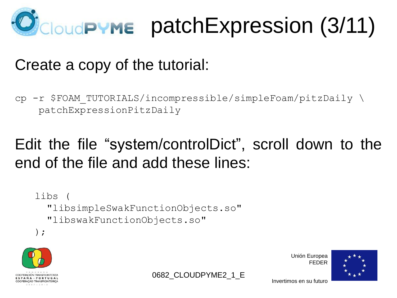

#### Create a copy of the tutorial:

cp -r \$FOAM TUTORIALS/incompressible/simpleFoam/pitzDaily \ patchExpressionPitzDaily

### Edit the file "system/controlDict", scroll down to the end of the file and add these lines:

0682 CLOUDPYME2 1 E

```
libs (
   "libsimpleSwakFunctionObjects.so"
   "libswakFunctionObjects.so"
);
```


Unión Europea FEDER

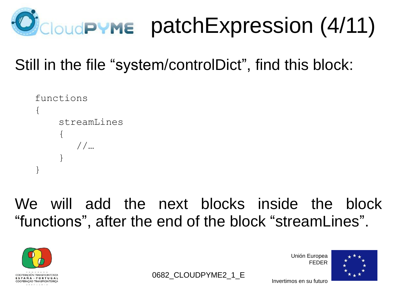

### Still in the file "system/controlDict", find this block:

```
functions
{
     streamLines
\{ //…
  }
}
```
We will add the next blocks inside the block "functions", after the end of the block "streamLines".



0682 CLOUDPYME2 1 E

Unión Europea FEDER

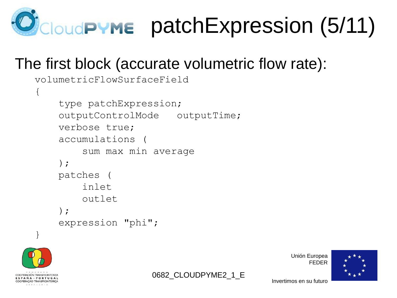

#### The first block (accurate volumetric flow rate):

```
volumetricFlowSurfaceField
{
     type patchExpression;
     outputControlMode outputTime;
     verbose true;
     accumulations (
          sum max min average
     );
     patches (
          inlet
          outlet
     );
     expression "phi";
}
```


```
0682 CLOUDPYME2 1 E
```
Unión Europea FEDER

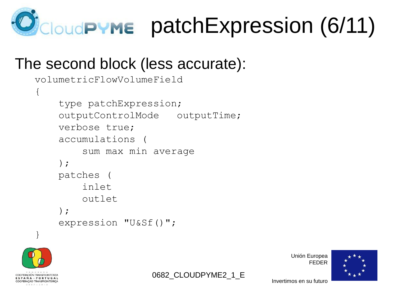

#### The second block (less accurate):

```
volumetricFlowVolumeField
{
     type patchExpression;
     outputControlMode outputTime;
     verbose true;
     accumulations (
          sum max min average
     );
     patches (
          inlet
          outlet
     );
     expression "U&Sf()";
}
```


0682 CLOUDPYME2 1 E

Unión Europea FEDER

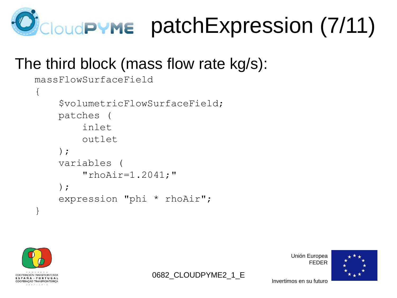

#### The third block (mass flow rate kg/s):

```
massFlowSurfaceField
\{ $volumetricFlowSurfaceField;
     patches (
          inlet
          outlet
     );
     variables (
         "rhoAir=1.2041;" );
     expression "phi * rhoAir";
}
```


0682 CLOUDPYME2 1 E



Invertimos en su futuro

Unión Europea

FEDER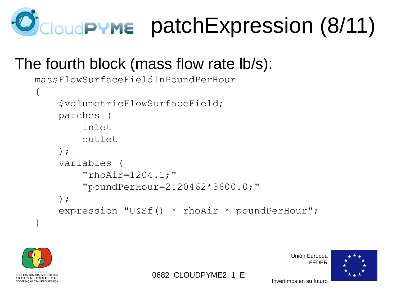

#### The fourth block (mass flow rate lb/s):

```
massFlowSurfaceFieldInPoundPerHour
\{ $volumetricFlowSurfaceField;
     patches (
         inlet
         outlet
     );
     variables (
         "rhoAir=1204.1;"
          "poundPerHour=2.20462*3600.0;"
     );
     expression "U&Sf() * rhoAir * poundPerHour";
}
```
0682 CLOUDPYME2 1 E



Unión Europea FEDER

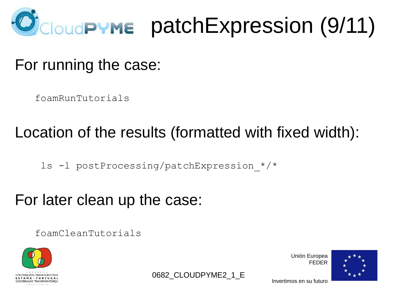

For running the case:

foamRunTutorials

#### Location of the results (formatted with fixed width):

ls -l postProcessing/patchExpression\_\*/\*

#### For later clean up the case:

foamCleanTutorials



Unión Europea FEDER



0682 CLOUDPYME2 1 E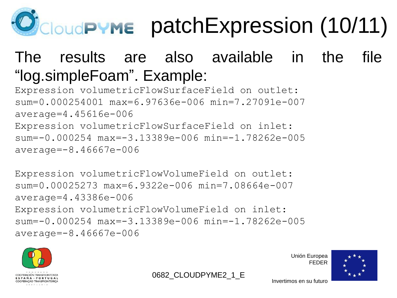

### The results are also available in the file "log.simpleFoam". Example:

0682 CLOUDPYME2 1 E

Expression volumetricFlowSurfaceField on outlet: sum=0.000254001 max=6.97636e-006 min=7.27091e-007 average=4.45616e-006 Expression volumetricFlowSurfaceField on inlet: sum=-0.000254 max=-3.13389e-006 min=-1.78262e-005 average=-8.46667e-006

Expression volumetricFlowVolumeField on outlet: sum=0.00025273 max=6.9322e-006 min=7.08664e-007 average=4.43386e-006 Expression volumetricFlowVolumeField on inlet: sum=-0.000254 max=-3.13389e-006 min=-1.78262e-005 average=-8.46667e-006



Unión Europea FEDER

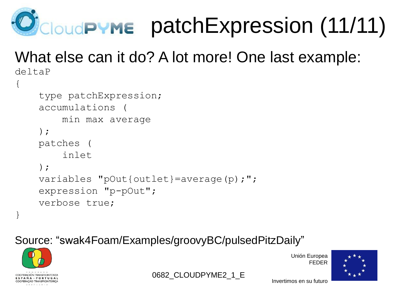

#### What else can it do? A lot more! One last example: deltaP

```
\left\{ \right. type patchExpression;
     accumulations (
          min max average
     );
     patches (
          inlet
     );
     variables "pOut{outlet}=average(p);";
     expression "p-pOut";
     verbose true;
}
```
#### Source: "swak4Foam/Examples/groovyBC/pulsedPitzDaily"



0682 CLOUDPYME2 1 E

Unión Europea FEDER

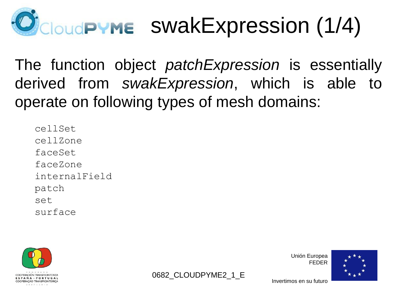# JcloudPYME SWakExpression (1/4)

The function object *patchExpression* is essentially derived from *swakExpression*, which is able to operate on following types of mesh domains:

cellSet cellZone faceSet faceZone internalField patch set surface





Unión Europea FEDER

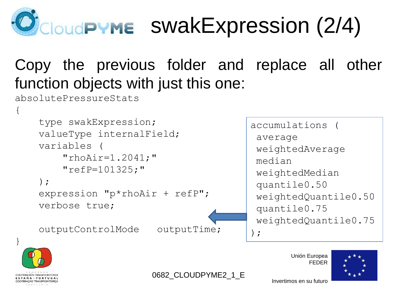

### Copy the previous folder and replace all other function objects with just this one:

absolutePressureStats

```
{
     type swakExpression;
     valueType internalField;
     variables (
        "rhoAir=1.2041;" "refP=101325;"
     );
     expression "p*rhoAir + refP";
     verbose true;
     outputControlMode outputTime;
}
                                          accumulations (
                                           average
                                           weightedAverage
                                           median
                                           weightedMedian
                                           quantile0.50
                                           weightedQuantile0.50
                                           quantile0.75
                                           weightedQuantile0.75
                                          );
```




COOPERACIÓN TRANSERONTERIZA ESPAÑA ~ PORTUGAL COOPERAÇÃO TRANSFRONTEIRIÇA  $2007 - 2013$ 

0682 CLOUDPYME2 1 E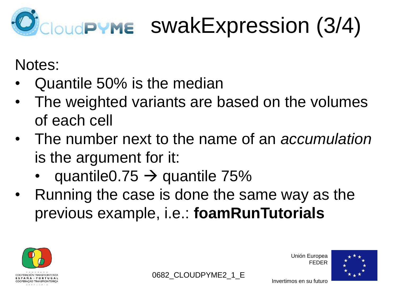# CloudPYME SWakExpression (3/4)

Notes:

- Quantile 50% is the median
- The weighted variants are based on the volumes of each cell
- The number next to the name of an *accumulation* is the argument for it:
	- quantile  $0.75 \rightarrow$  quantile  $75\%$
- Running the case is done the same way as the previous example, i.e.: **foamRunTutorials**





Unión Europea FEDER

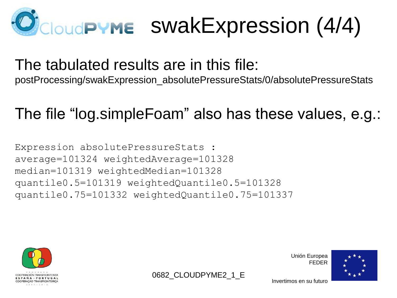

### The tabulated results are in this file:

postProcessing/swakExpression\_absolutePressureStats/0/absolutePressureStats

### The file "log.simpleFoam" also has these values, e.g.:

Expression absolutePressureStats : average=101324 weightedAverage=101328 median=101319 weightedMedian=101328 quantile0.5=101319 weightedQuantile0.5=101328 quantile0.75=101332 weightedQuantile0.75=101337



Unión Europea FEDER



0682 CLOUDPYME2 1 E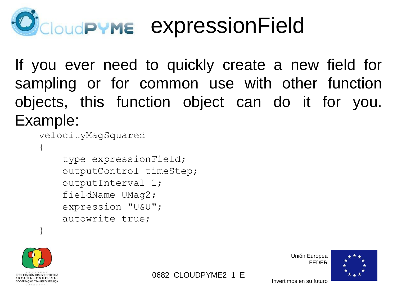# **CloudPYME EXPressionField**

If you ever need to quickly create a new field for sampling or for common use with other function objects, this function object can do it for you. Example:

```
 velocityMagSquared
```

```
\{
```
 type expressionField; outputControl timeStep; outputInterval 1; fieldName UMag2; expression "U&U"; autowrite true;



}

Unión Europea FEDER



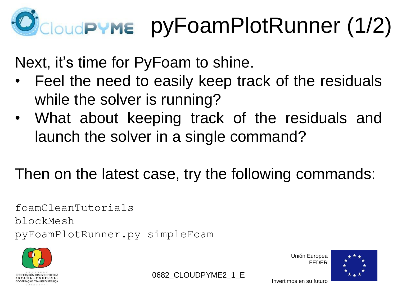# **CloudPYME** pyFoamPlotRunner (1/2)

Next, it's time for PyFoam to shine.

- Feel the need to easily keep track of the residuals while the solver is running?
- What about keeping track of the residuals and launch the solver in a single command?

### Then on the latest case, try the following commands:

foamCleanTutorials blockMesh pyFoamPlotRunner.py simpleFoam



Unión Europea FEDER



Invertimos en su futuro

0682 CLOUDPYME2 1 E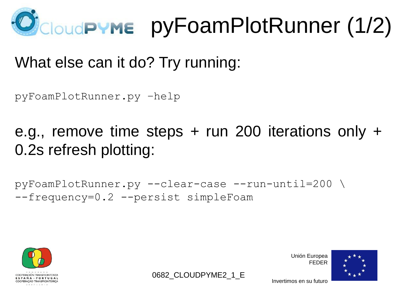

#### What else can it do? Try running:

pyFoamPlotRunner.py –help

e.g., remove time steps  $+$  run 200 iterations only  $+$ 0.2s refresh plotting:

0682 CLOUDPYME2 1 E

pyFoamPlotRunner.py --clear-case --run-until=200 \ --frequency=0.2 --persist simpleFoam



Unión Europea FEDER

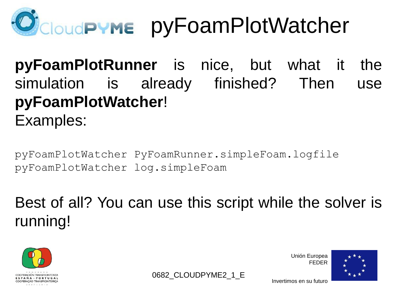

**pyFoamPlotRunner** is nice, but what it the simulation is already finished? Then use **pyFoamPlotWatcher**! Examples:

pyFoamPlotWatcher PyFoamRunner.simpleFoam.logfile pyFoamPlotWatcher log.simpleFoam

Best of all? You can use this script while the solver is running!



Unión Europea FEDER



0682 CLOUDPYME2 1 E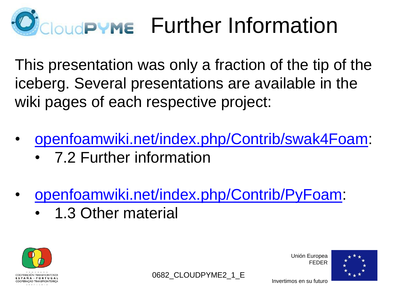# **IQUOPYME** Further Information

This presentation was only a fraction of the tip of the iceberg. Several presentations are available in the wiki pages of each respective project:

- [openfoamwiki.net/index.php/Contrib/swak4Foam:](http://openfoamwiki.net/index.php/Contrib/swak4Foam#Further_information)
	- 7.2 Further information
- [openfoamwiki.net/index.php/Contrib/PyFoam:](http://openfoamwiki.net/index.php/Contrib/PyFoam#Other_material)
	- 1.3 Other material





Unión Europea FEDER